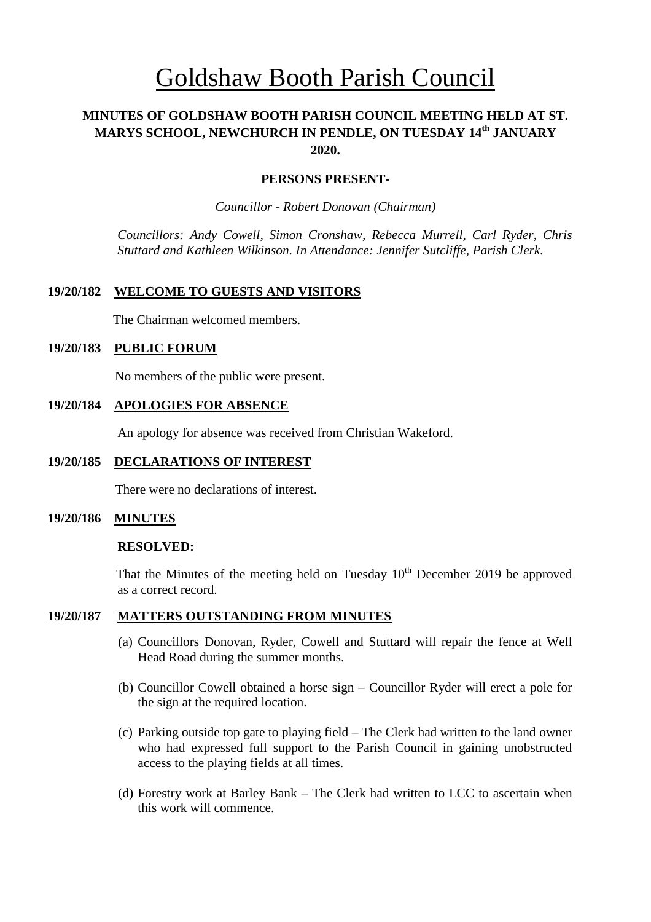# Goldshaw Booth Parish Council

# **MINUTES OF GOLDSHAW BOOTH PARISH COUNCIL MEETING HELD AT ST. MARYS SCHOOL, NEWCHURCH IN PENDLE, ON TUESDAY 14 th JANUARY 2020.**

#### **PERSONS PRESENT-**

*Councillor* - *Robert Donovan (Chairman)*

*Councillors: Andy Cowell, Simon Cronshaw, Rebecca Murrell, Carl Ryder, Chris Stuttard and Kathleen Wilkinson. In Attendance: Jennifer Sutcliffe, Parish Clerk.*

#### **19/20/182 WELCOME TO GUESTS AND VISITORS**

The Chairman welcomed members.

#### **19/20/183 PUBLIC FORUM**

No members of the public were present.

#### **19/20/184 APOLOGIES FOR ABSENCE**

An apology for absence was received from Christian Wakeford.

#### **19/20/185 DECLARATIONS OF INTEREST**

There were no declarations of interest.

#### **19/20/186 MINUTES**

#### **RESOLVED:**

That the Minutes of the meeting held on Tuesday  $10<sup>th</sup>$  December 2019 be approved as a correct record.

#### **19/20/187 MATTERS OUTSTANDING FROM MINUTES**

- (a) Councillors Donovan, Ryder, Cowell and Stuttard will repair the fence at Well Head Road during the summer months.
- (b) Councillor Cowell obtained a horse sign Councillor Ryder will erect a pole for the sign at the required location.
- (c) Parking outside top gate to playing field The Clerk had written to the land owner who had expressed full support to the Parish Council in gaining unobstructed access to the playing fields at all times.
- (d) Forestry work at Barley Bank The Clerk had written to LCC to ascertain when this work will commence.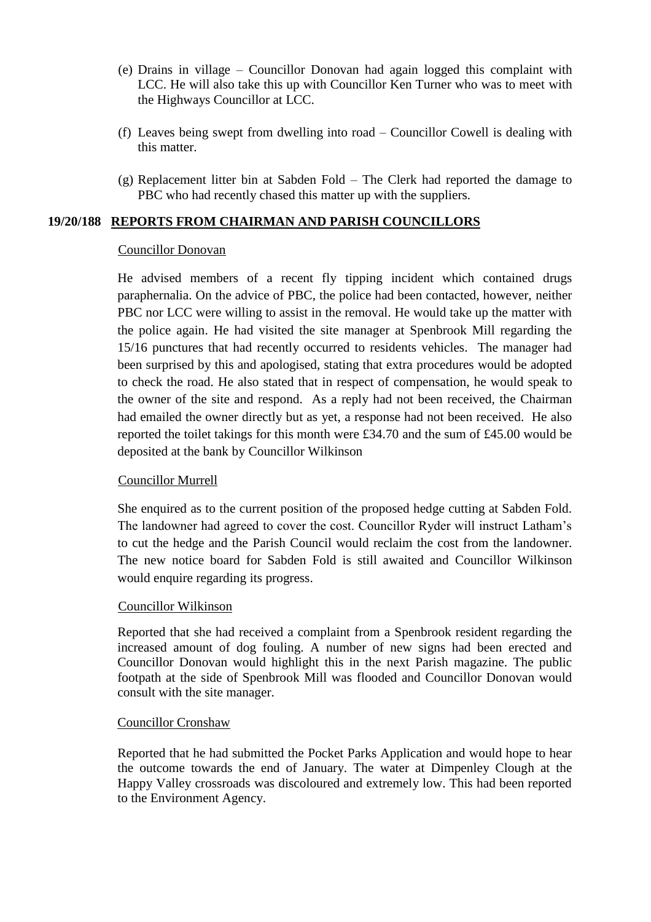- (e) Drains in village Councillor Donovan had again logged this complaint with LCC. He will also take this up with Councillor Ken Turner who was to meet with the Highways Councillor at LCC.
- (f) Leaves being swept from dwelling into road Councillor Cowell is dealing with this matter.
- (g) Replacement litter bin at Sabden Fold The Clerk had reported the damage to PBC who had recently chased this matter up with the suppliers.

## **19/20/188 REPORTS FROM CHAIRMAN AND PARISH COUNCILLORS**

#### Councillor Donovan

He advised members of a recent fly tipping incident which contained drugs paraphernalia. On the advice of PBC, the police had been contacted, however, neither PBC nor LCC were willing to assist in the removal. He would take up the matter with the police again. He had visited the site manager at Spenbrook Mill regarding the 15/16 punctures that had recently occurred to residents vehicles. The manager had been surprised by this and apologised, stating that extra procedures would be adopted to check the road. He also stated that in respect of compensation, he would speak to the owner of the site and respond. As a reply had not been received, the Chairman had emailed the owner directly but as yet, a response had not been received. He also reported the toilet takings for this month were £34.70 and the sum of £45.00 would be deposited at the bank by Councillor Wilkinson

#### Councillor Murrell

She enquired as to the current position of the proposed hedge cutting at Sabden Fold. The landowner had agreed to cover the cost. Councillor Ryder will instruct Latham's to cut the hedge and the Parish Council would reclaim the cost from the landowner. The new notice board for Sabden Fold is still awaited and Councillor Wilkinson would enquire regarding its progress.

#### Councillor Wilkinson

Reported that she had received a complaint from a Spenbrook resident regarding the increased amount of dog fouling. A number of new signs had been erected and Councillor Donovan would highlight this in the next Parish magazine. The public footpath at the side of Spenbrook Mill was flooded and Councillor Donovan would consult with the site manager.

#### Councillor Cronshaw

Reported that he had submitted the Pocket Parks Application and would hope to hear the outcome towards the end of January. The water at Dimpenley Clough at the Happy Valley crossroads was discoloured and extremely low. This had been reported to the Environment Agency.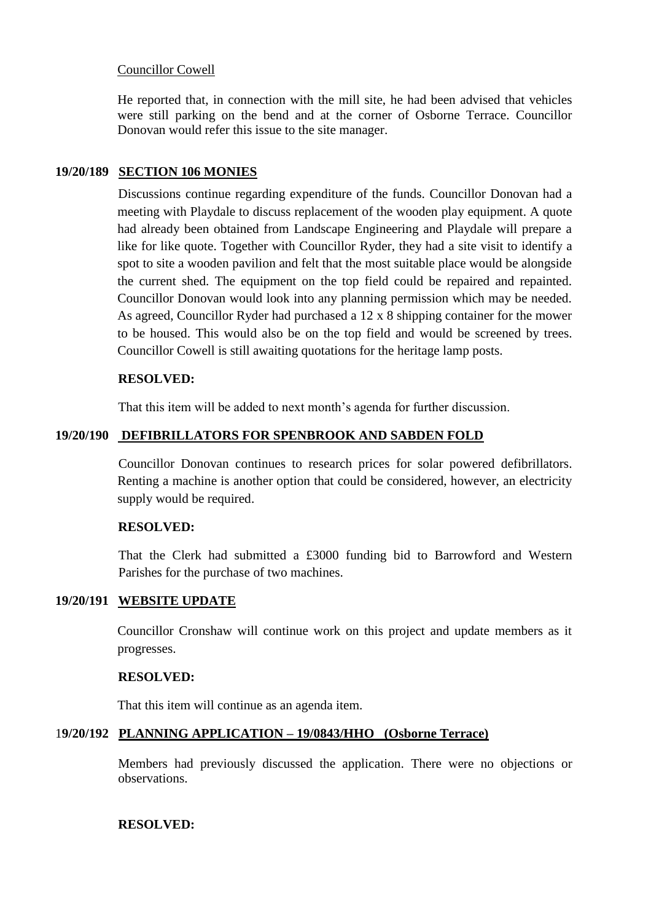## Councillor Cowell

He reported that, in connection with the mill site, he had been advised that vehicles were still parking on the bend and at the corner of Osborne Terrace. Councillor Donovan would refer this issue to the site manager.

## **19/20/189 SECTION 106 MONIES**

Discussions continue regarding expenditure of the funds. Councillor Donovan had a meeting with Playdale to discuss replacement of the wooden play equipment. A quote had already been obtained from Landscape Engineering and Playdale will prepare a like for like quote. Together with Councillor Ryder, they had a site visit to identify a spot to site a wooden pavilion and felt that the most suitable place would be alongside the current shed. The equipment on the top field could be repaired and repainted. Councillor Donovan would look into any planning permission which may be needed. As agreed, Councillor Ryder had purchased a 12 x 8 shipping container for the mower to be housed. This would also be on the top field and would be screened by trees. Councillor Cowell is still awaiting quotations for the heritage lamp posts.

#### **RESOLVED:**

That this item will be added to next month's agenda for further discussion.

# **19/20/190 DEFIBRILLATORS FOR SPENBROOK AND SABDEN FOLD**

Councillor Donovan continues to research prices for solar powered defibrillators. Renting a machine is another option that could be considered, however, an electricity supply would be required.

#### **RESOLVED:**

That the Clerk had submitted a £3000 funding bid to Barrowford and Western Parishes for the purchase of two machines.

# **19/20/191 WEBSITE UPDATE**

Councillor Cronshaw will continue work on this project and update members as it progresses.

#### **RESOLVED:**

That this item will continue as an agenda item.

## 1**9/20/192 PLANNING APPLICATION – 19/0843/HHO (Osborne Terrace)**

Members had previously discussed the application. There were no objections or observations.

#### **RESOLVED:**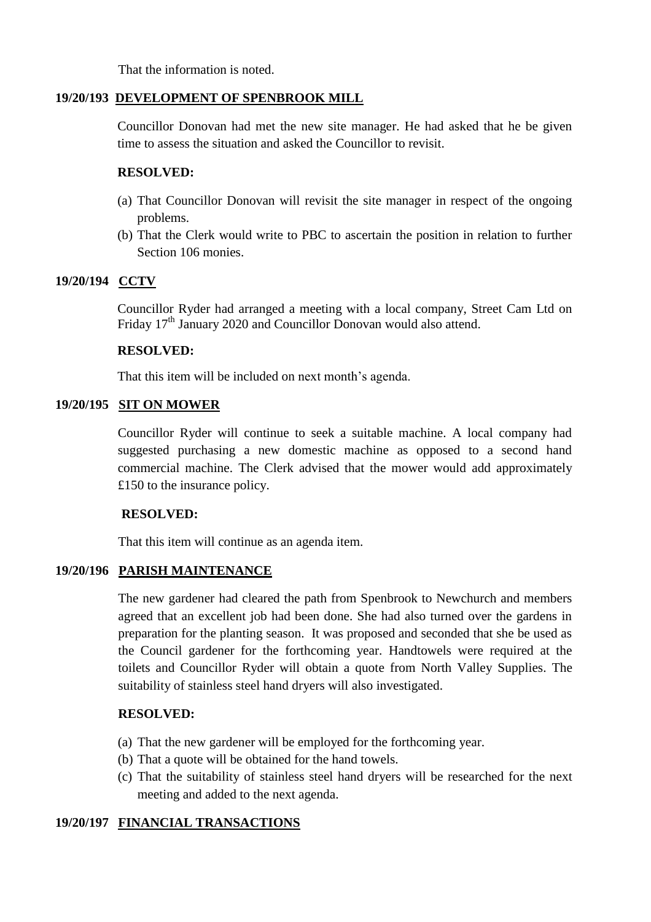That the information is noted.

#### **19/20/193 DEVELOPMENT OF SPENBROOK MILL**

Councillor Donovan had met the new site manager. He had asked that he be given time to assess the situation and asked the Councillor to revisit.

#### **RESOLVED:**

- (a) That Councillor Donovan will revisit the site manager in respect of the ongoing problems.
- (b) That the Clerk would write to PBC to ascertain the position in relation to further Section 106 monies.

## **19/20/194 CCTV**

Councillor Ryder had arranged a meeting with a local company, Street Cam Ltd on Friday 17<sup>th</sup> January 2020 and Councillor Donovan would also attend.

#### **RESOLVED:**

That this item will be included on next month's agenda.

# **19/20/195 SIT ON MOWER**

Councillor Ryder will continue to seek a suitable machine. A local company had suggested purchasing a new domestic machine as opposed to a second hand commercial machine. The Clerk advised that the mower would add approximately £150 to the insurance policy.

#### **RESOLVED:**

That this item will continue as an agenda item.

# **19/20/196 PARISH MAINTENANCE**

The new gardener had cleared the path from Spenbrook to Newchurch and members agreed that an excellent job had been done. She had also turned over the gardens in preparation for the planting season. It was proposed and seconded that she be used as the Council gardener for the forthcoming year. Handtowels were required at the toilets and Councillor Ryder will obtain a quote from North Valley Supplies. The suitability of stainless steel hand dryers will also investigated.

#### **RESOLVED:**

- (a) That the new gardener will be employed for the forthcoming year.
- (b) That a quote will be obtained for the hand towels.
- (c) That the suitability of stainless steel hand dryers will be researched for the next meeting and added to the next agenda.

# **19/20/197 FINANCIAL TRANSACTIONS**